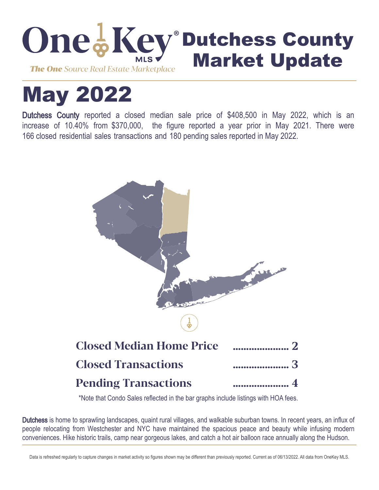

# May 2022

Dutchess County reported a closed median sale price of \$408,500 in May 2022, which is an increase of 10.40% from \$370,000, the figure reported a year prior in May 2021. There were 166 closed residential sales transactions and 180 pending sales reported in May 2022.



\*Note that Condo Sales reflected in the bar graphs include listings with HOA fees.

Dutchess is home to sprawling landscapes, quaint rural villages, and walkable suburban towns. In recent years, an influx of people relocating from Westchester and NYC have maintained the spacious peace and beauty while infusing modern conveniences. Hike historic trails, camp near gorgeous lakes, and catch a hot air balloon race annually along the Hudson.

Data is refreshed regularly to capture changes in market activity so figures shown may be different than previously reported. Current as of 06/13/2022. All data from OneKey MLS.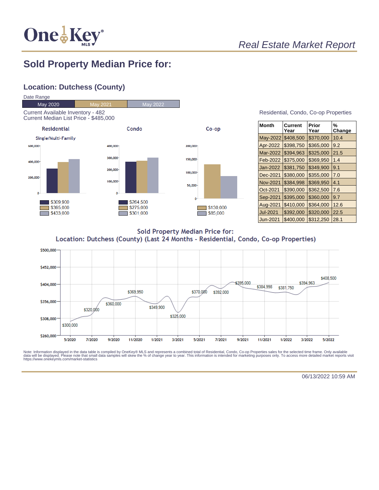

# Real Estate Market Report

## **Sold Property Median Price for:**

#### **Location: Dutchess (County)**



| Residential, Condo, Co-op Properties |  |  |
|--------------------------------------|--|--|
|                                      |  |  |

| Month           | Current<br>Year | Prior<br>Year | %<br>Change |
|-----------------|-----------------|---------------|-------------|
| May-2022        | \$408,500       | \$370,000     | 10.4        |
| Apr-2022        | \$398,750       | \$365,000     | 9.2         |
| Mar-2022        | \$394,963       | \$325,000     | 21.5        |
| Feb-2022        | \$375,000       | \$369,950     | 1.4         |
| Jan-2022        | \$381,750       | \$349,900     | 9.1         |
| Dec-2021        | \$380,000       | \$355,000     | 7.0         |
| <b>Nov-2021</b> | \$384,998       | \$369,950     | 4.1         |
| Oct-2021        | \$390,000       | \$362,500     | 7.6         |
| Sep-2021        | \$395,000       | \$360,000     | 9.7         |
| Aug-2021        | \$410,000       | \$364,000     | 12.6        |
| <b>Jul-2021</b> | \$392,000       | \$320,000     | 22.5        |
| Jun-2021        | \$400,000       | \$312,250     | 28.1        |

**Sold Property Median Price for:** Location: Dutchess (County) (Last 24 Months - Residential, Condo, Co-op Properties)



Note: Information displayed in the data table is compiled by OneKey® MLS and represents a combined total of Residential, Condo, Co-op Properties sales for the selected time frame. Only available<br>data will be displayed. Pl

06/13/2022 10:59 AM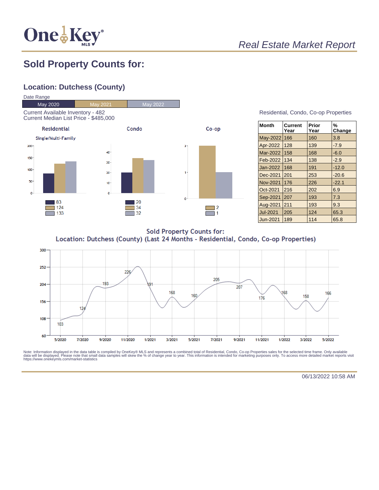

# Real Estate Market Report

# **Sold Property Counts for:**

### **Location: Dutchess (County)**



Residential, Condo, Co-op Properties

| <b>Month</b>    | Current<br>Year | Prior<br>Year | %<br>Change |
|-----------------|-----------------|---------------|-------------|
| May-2022        | 166             | 160           | 3.8         |
| Apr-2022        | 128             | 139           | $-7.9$      |
| Mar-2022        | 158             | 168           | $-6.0$      |
| Feb-2022        | 134             | 138           | $-2.9$      |
| Jan-2022        | 168             | 191           | $-12.0$     |
| Dec-2021        | 201             | 253           | $-20.6$     |
| Nov-2021        | 176             | 226           | $-22.1$     |
| Oct-2021        | 216             | 202           | 6.9         |
| Sep-2021        | 207             | 193           | 7.3         |
| Aug-2021        | 211             | 193           | 9.3         |
| <b>Jul-2021</b> | 205             | 124           | 65.3        |
| Jun-2021        | 189             | 114           | 65.8        |

**Sold Property Counts for:** Location: Dutchess (County) (Last 24 Months - Residential, Condo, Co-op Properties)



Note: Information displayed in the data table is compiled by OneKey® MLS and represents a combined total of Residential, Condo, Co-op Properties sales for the selected time frame. Only available<br>data will be displayed. Pl

06/13/2022 10:58 AM